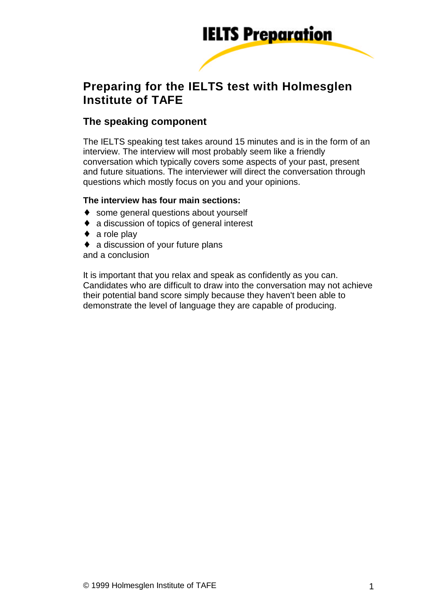

# **Preparing for the IELTS test with Holmesglen Institute of TAFE**

# **The speaking component**

The IELTS speaking test takes around 15 minutes and is in the form of an interview. The interview will most probably seem like a friendly conversation which typically covers some aspects of your past, present and future situations. The interviewer will direct the conversation through questions which mostly focus on you and your opinions.

#### **The interview has four main sections:**

- ♦ some general questions about yourself
- ♦ a discussion of topics of general interest
- $\bullet$  a role play
- $\bullet$  a discussion of your future plans

and a conclusion

It is important that you relax and speak as confidently as you can. Candidates who are difficult to draw into the conversation may not achieve their potential band score simply because they haven't been able to demonstrate the level of language they are capable of producing.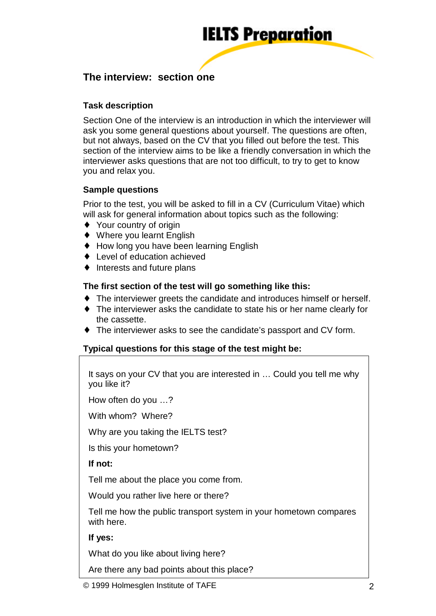

# **The interview: section one**

# **Task description**

Section One of the interview is an introduction in which the interviewer will ask you some general questions about yourself. The questions are often, but not always, based on the CV that you filled out before the test. This section of the interview aims to be like a friendly conversation in which the interviewer asks questions that are not too difficult, to try to get to know you and relax you.

## **Sample questions**

Prior to the test, you will be asked to fill in a CV (Curriculum Vitae) which will ask for general information about topics such as the following:

- ♦ Your country of origin
- ♦ Where you learnt English
- ♦ How long you have been learning English
- ♦ Level of education achieved
- ♦ Interests and future plans

#### **The first section of the test will go something like this:**

- ♦ The interviewer greets the candidate and introduces himself or herself.
- ♦ The interviewer asks the candidate to state his or her name clearly for the cassette.
- ♦ The interviewer asks to see the candidate's passport and CV form.

## **Typical questions for this stage of the test might be:**

It says on your CV that you are interested in … Could you tell me why you like it?

How often do you … ?

With whom? Where?

Why are you taking the IELTS test?

Is this your hometown?

#### **If not:**

Tell me about the place you come from.

Would you rather live here or there?

Tell me how the public transport system in your hometown compares with here.

#### **If yes:**

What do you like about living here?

Are there any bad points about this place?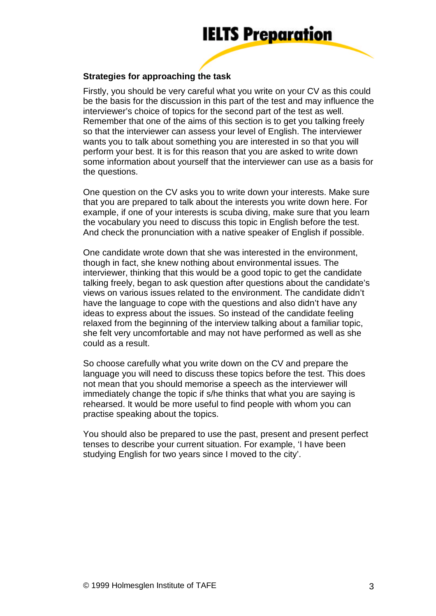

#### **Strategies for approaching the task**

Firstly, you should be very careful what you write on your CV as this could be the basis for the discussion in this part of the test and may influence the interviewer's choice of topics for the second part of the test as well. Remember that one of the aims of this section is to get you talking freely so that the interviewer can assess your level of English. The interviewer wants you to talk about something you are interested in so that you will perform your best. It is for this reason that you are asked to write down some information about yourself that the interviewer can use as a basis for the questions.

One question on the CV asks you to write down your interests. Make sure that you are prepared to talk about the interests you write down here. For example, if one of your interests is scuba diving, make sure that you learn the vocabulary you need to discuss this topic in English before the test. And check the pronunciation with a native speaker of English if possible.

One candidate wrote down that she was interested in the environment, though in fact, she knew nothing about environmental issues. The interviewer, thinking that this would be a good topic to get the candidate talking freely, began to ask question after questions about the candidate's views on various issues related to the environment. The candidate didn't have the language to cope with the questions and also didn't have any ideas to express about the issues. So instead of the candidate feeling relaxed from the beginning of the interview talking about a familiar topic, she felt very uncomfortable and may not have performed as well as she could as a result.

So choose carefully what you write down on the CV and prepare the language you will need to discuss these topics before the test. This does not mean that you should memorise a speech as the interviewer will immediately change the topic if s/he thinks that what you are saying is rehearsed. It would be more useful to find people with whom you can practise speaking about the topics.

You should also be prepared to use the past, present and present perfect tenses to describe your current situation. For example, 'I have been studying English for two years since I moved to the city'.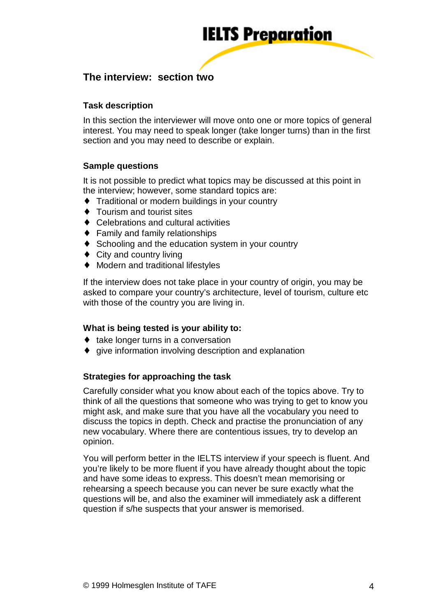

# **The interview: section two**

### **Task description**

In this section the interviewer will move onto one or more topics of general interest. You may need to speak longer (take longer turns) than in the first section and you may need to describe or explain.

#### **Sample questions**

It is not possible to predict what topics may be discussed at this point in the interview; however, some standard topics are:

- ♦ Traditional or modern buildings in your country
- ♦ Tourism and tourist sites
- ♦ Celebrations and cultural activities
- $\triangle$  Family and family relationships
- ♦ Schooling and the education system in your country
- $\triangleleft$  City and country living
- ♦ Modern and traditional lifestyles

If the interview does not take place in your country of origin, you may be asked to compare your country's architecture, level of tourism, culture etc with those of the country you are living in.

#### **What is being tested is your ability to:**

- ♦ take longer turns in a conversation
- ♦ give information involving description and explanation

#### **Strategies for approaching the task**

Carefully consider what you know about each of the topics above. Try to think of all the questions that someone who was trying to get to know you might ask, and make sure that you have all the vocabulary you need to discuss the topics in depth. Check and practise the pronunciation of any new vocabulary. Where there are contentious issues, try to develop an opinion.

You will perform better in the IELTS interview if your speech is fluent. And you're likely to be more fluent if you have already thought about the topic and have some ideas to express. This doesn't mean memorising or rehearsing a speech because you can never be sure exactly what the questions will be, and also the examiner will immediately ask a different question if s/he suspects that your answer is memorised.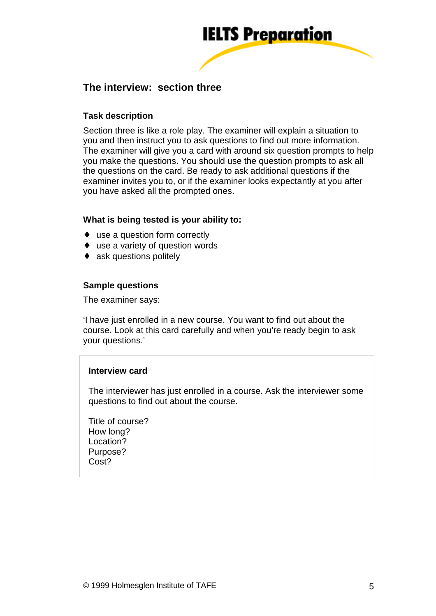

# **The interview: section three**

### **Task description**

Section three is like a role play. The examiner will explain a situation to you and then instruct you to ask questions to find out more information. The examiner will give you a card with around six question prompts to help you make the questions. You should use the question prompts to ask all the questions on the card. Be ready to ask additional questions if the examiner invites you to, or if the examiner looks expectantly at you after you have asked all the prompted ones.

#### **What is being tested is your ability to:**

- ♦ use a question form correctly
- ♦ use a variety of question words
- ask questions politely

#### **Sample questions**

The examiner says:

'I have just enrolled in a new course. You want to find out about the course. Look at this card carefully and when you're ready begin to ask your questions.'

#### **Interview card**

The interviewer has just enrolled in a course. Ask the interviewer some questions to find out about the course.

Title of course? How long? Location? Purpose? Cost?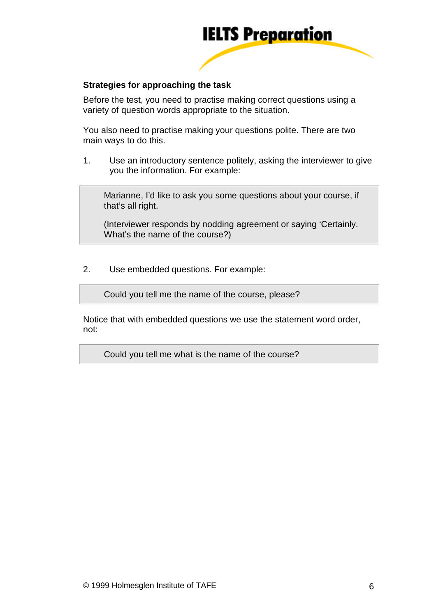

#### **Strategies for approaching the task**

Before the test, you need to practise making correct questions using a variety of question words appropriate to the situation.

You also need to practise making your questions polite. There are two main ways to do this.

1. Use an introductory sentence politely, asking the interviewer to give you the information. For example:

Marianne, I'd like to ask you some questions about your course, if that's all right.

(Interviewer responds by nodding agreement or saying 'Certainly. What's the name of the course?)

2. Use embedded questions. For example:

Could you tell me the name of the course, please?

Notice that with embedded questions we use the statement word order, not:

Could you tell me what is the name of the course?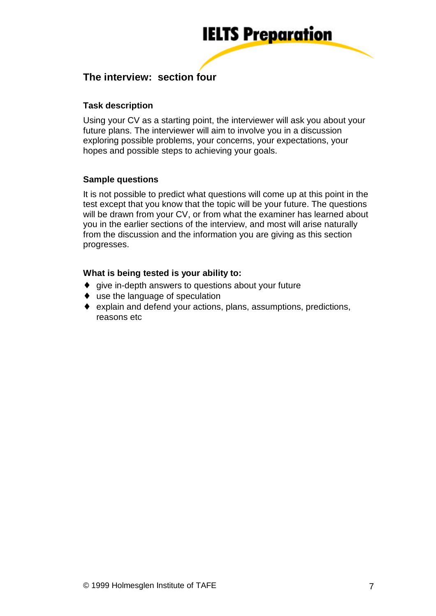

# **The interview: section four**

## **Task description**

Using your CV as a starting point, the interviewer will ask you about your future plans. The interviewer will aim to involve you in a discussion exploring possible problems, your concerns, your expectations, your hopes and possible steps to achieving your goals.

## **Sample questions**

It is not possible to predict what questions will come up at this point in the test except that you know that the topic will be your future. The questions will be drawn from your CV, or from what the examiner has learned about you in the earlier sections of the interview, and most will arise naturally from the discussion and the information you are giving as this section progresses.

#### **What is being tested is your ability to:**

- ♦ give in-depth answers to questions about your future
- ♦ use the language of speculation
- ♦ explain and defend your actions, plans, assumptions, predictions, reasons etc